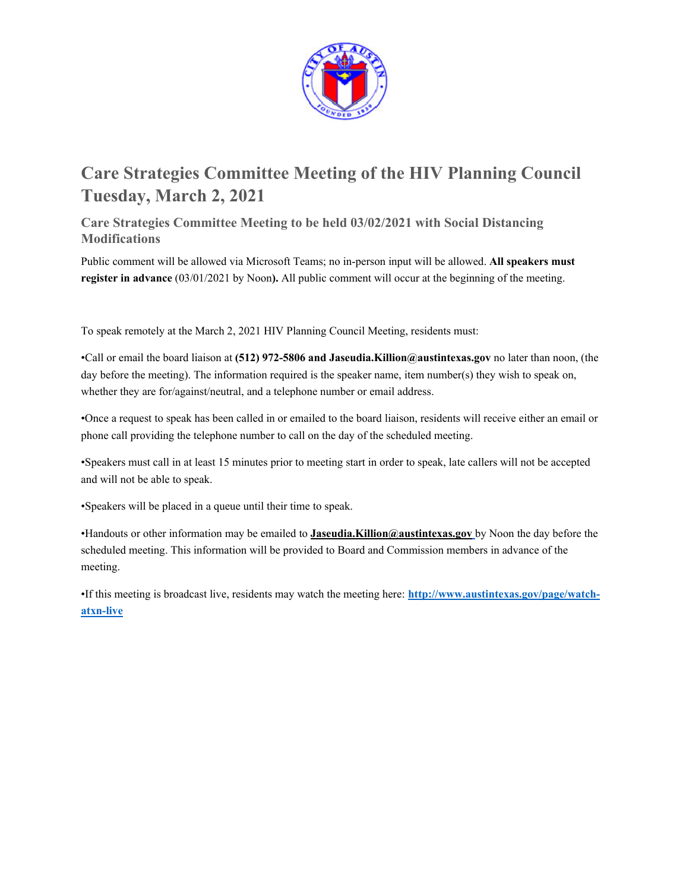

# **Care Strategies Committee Meeting of the HIV Planning Council Tuesday, March 2, 2021**

**Care Strategies Committee Meeting to be held 03/02/2021 with Social Distancing Modifications** 

Public comment will be allowed via Microsoft Teams; no in-person input will be allowed. **All speakers must register in advance** (03/01/2021 by Noon**).** All public comment will occur at the beginning of the meeting.

To speak remotely at the March 2, 2021 HIV Planning Council Meeting, residents must:

•Call or email the board liaison at **(512) 972-5806 and Jaseudia.Killion@austintexas.gov** no later than noon, (the day before the meeting). The information required is the speaker name, item number(s) they wish to speak on, whether they are for/against/neutral, and a telephone number or email address.

•Once a request to speak has been called in or emailed to the board liaison, residents will receive either an email or phone call providing the telephone number to call on the day of the scheduled meeting.

•Speakers must call in at least 15 minutes prior to meeting start in order to speak, late callers will not be accepted and will not be able to speak.

•Speakers will be placed in a queue until their time to speak.

•Handouts or other information may be emailed to **Jaseudia.Killion@austintexas.gov** by Noon the day before the scheduled meeting. This information will be provided to Board and Commission members in advance of the meeting.

•If this meeting is broadcast live, residents may watch the meeting here: **http://www.austintexas.gov/page/watchatxn-live**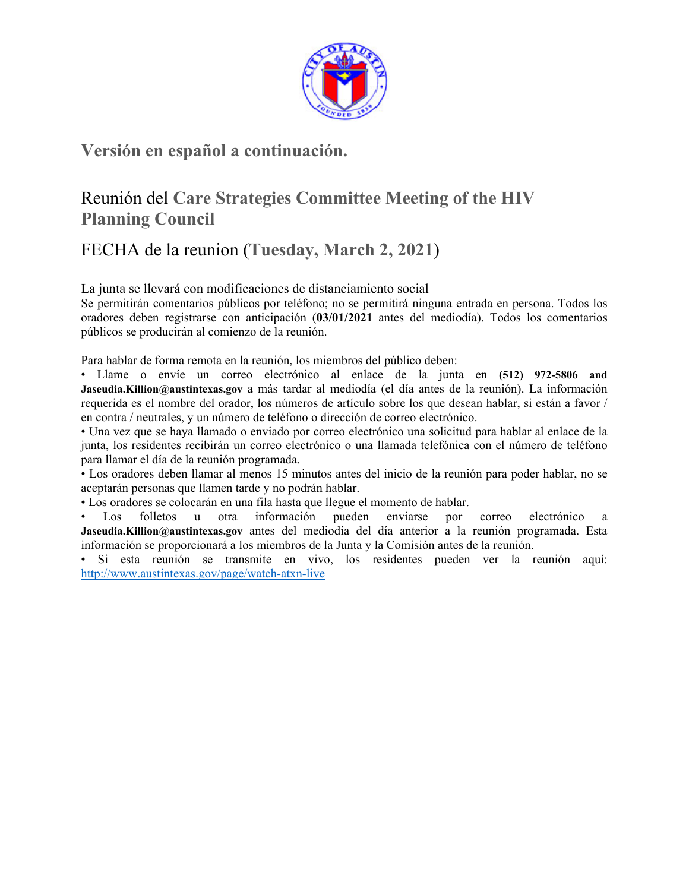

## **Versión en español a continuación.**

# Reunión del **Care Strategies Committee Meeting of the HIV Planning Council**

## FECHA de la reunion (**Tuesday, March 2, 2021**)

La junta se llevará con modificaciones de distanciamiento social

Se permitirán comentarios públicos por teléfono; no se permitirá ninguna entrada en persona. Todos los oradores deben registrarse con anticipación (**03/01/2021** antes del mediodía). Todos los comentarios públicos se producirán al comienzo de la reunión.

Para hablar de forma remota en la reunión, los miembros del público deben:

• Llame o envíe un correo electrónico al enlace de la junta en **(512) 972-5806 and Jaseudia.Killion@austintexas.gov** a más tardar al mediodía (el día antes de la reunión). La información requerida es el nombre del orador, los números de artículo sobre los que desean hablar, si están a favor / en contra / neutrales, y un número de teléfono o dirección de correo electrónico.

• Una vez que se haya llamado o enviado por correo electrónico una solicitud para hablar al enlace de la junta, los residentes recibirán un correo electrónico o una llamada telefónica con el número de teléfono para llamar el día de la reunión programada.

• Los oradores deben llamar al menos 15 minutos antes del inicio de la reunión para poder hablar, no se aceptarán personas que llamen tarde y no podrán hablar.

• Los oradores se colocarán en una fila hasta que llegue el momento de hablar.

• Los folletos u otra información pueden enviarse por correo electrónico a **Jaseudia.Killion@austintexas.gov** antes del mediodía del día anterior a la reunión programada. Esta información se proporcionará a los miembros de la Junta y la Comisión antes de la reunión.

• Si esta reunión se transmite en vivo, los residentes pueden ver la reunión aquí: http://www.austintexas.gov/page/watch-atxn-live